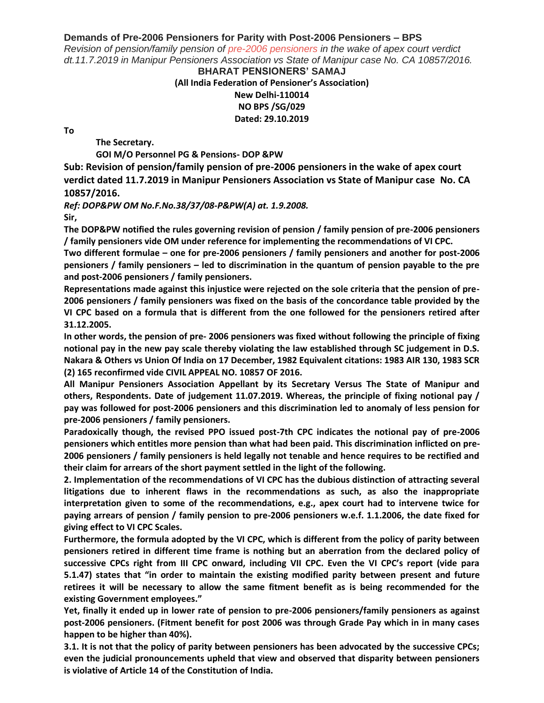## **Demands of Pre-2006 Pensioners for Parity with Post-2006 Pensioners – BPS**

*Revision of pension/family pension of [pre-2006 pensioners](https://7thpaycommissionnews.in/latest-news-on-pension-for-central-government-pesnioners/) in the wake of apex court verdict dt.11.7.2019 in Manipur Pensioners Association vs State of Manipur case No. CA 10857/2016.*

## **BHARAT PENSIONERS' SAMAJ (All India Federation of Pensioner's Association) New Delhi-110014 NO BPS /SG/029 Dated: 29.10.2019**

**To**

**The Secretary.**

**GOI M/O Personnel PG & Pensions- DOP &PW**

**Sub: Revision of pension/family pension of pre-2006 pensioners in the wake of apex court verdict dated 11.7.2019 in Manipur Pensioners Association vs State of Manipur case No. CA 10857/2016.**

*Ref: DOP&PW OM No.F.No.38/37/08-P&PW(A) at. 1.9.2008.* **Sir,**

**The DOP&PW notified the rules governing revision of pension / family pension of pre-2006 pensioners / family pensioners vide OM under reference for implementing the recommendations of VI CPC.**

**Two different formulae – one for pre-2006 pensioners / family pensioners and another for post-2006 pensioners / family pensioners – led to discrimination in the quantum of pension payable to the pre and post-2006 pensioners / family pensioners.**

**Representations made against this injustice were rejected on the sole criteria that the pension of pre-2006 pensioners / family pensioners was fixed on the basis of the concordance table provided by the VI CPC based on a formula that is different from the one followed for the pensioners retired after 31.12.2005.**

**In other words, the pension of pre- 2006 pensioners was fixed without following the principle of fixing notional pay in the new pay scale thereby violating the law established through SC judgement in D.S. Nakara & Others vs Union Of India on 17 December, 1982 Equivalent citations: 1983 AIR 130, 1983 SCR (2) 165 reconfirmed vide CIVIL APPEAL NO. 10857 OF 2016.**

**All Manipur Pensioners Association Appellant by its Secretary Versus The State of Manipur and others, Respondents. Date of judgement 11.07.2019. Whereas, the principle of fixing notional pay / pay was followed for post-2006 pensioners and this discrimination led to anomaly of less pension for pre-2006 pensioners / family pensioners.**

**Paradoxically though, the revised PPO issued post-7th CPC indicates the notional pay of pre-2006 pensioners which entitles more pension than what had been paid. This discrimination inflicted on pre-2006 pensioners / family pensioners is held legally not tenable and hence requires to be rectified and their claim for arrears of the short payment settled in the light of the following.**

**2. Implementation of the recommendations of VI CPC has the dubious distinction of attracting several litigations due to inherent flaws in the recommendations as such, as also the inappropriate interpretation given to some of the recommendations, e.g., apex court had to intervene twice for paying arrears of pension / family pension to pre-2006 pensioners w.e.f. 1.1.2006, the date fixed for giving effect to VI CPC Scales.**

**Furthermore, the formula adopted by the VI CPC, which is different from the policy of parity between pensioners retired in different time frame is nothing but an aberration from the declared policy of successive CPCs right from III CPC onward, including VII CPC. Even the VI CPC's report (vide para 5.1.47) states that "in order to maintain the existing modified parity between present and future retirees it will be necessary to allow the same fitment benefit as is being recommended for the existing Government employees."**

**Yet, finally it ended up in lower rate of pension to pre-2006 pensioners/family pensioners as against post-2006 pensioners. (Fitment benefit for post 2006 was through Grade Pay which in in many cases happen to be higher than 40%).**

**3.1. It is not that the policy of parity between pensioners has been advocated by the successive CPCs; even the judicial pronouncements upheld that view and observed that disparity between pensioners is violative of Article 14 of the Constitution of India.**